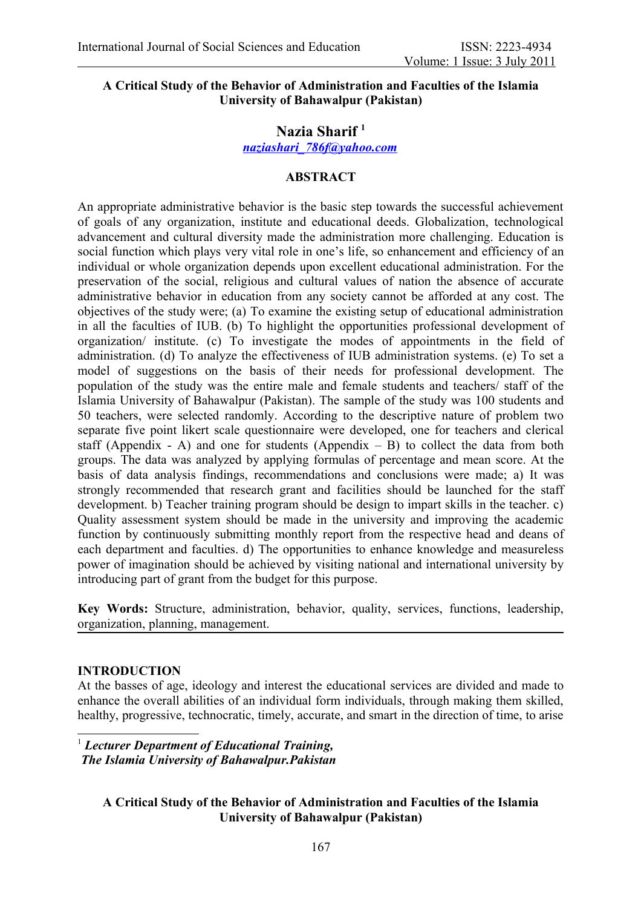#### **A Critical Study of the Behavior of Administration and Faculties of the Islamia University of Bahawalpur (Pakistan)**

# **Nazia Sharif [1](#page-0-0)**

#### *[naziashari\\_786f@yahoo.com](mailto:naziashari_786f@yahoo.com)*

## **ABSTRACT**

An appropriate administrative behavior is the basic step towards the successful achievement of goals of any organization, institute and educational deeds. Globalization, technological advancement and cultural diversity made the administration more challenging. Education is social function which plays very vital role in one's life, so enhancement and efficiency of an individual or whole organization depends upon excellent educational administration. For the preservation of the social, religious and cultural values of nation the absence of accurate administrative behavior in education from any society cannot be afforded at any cost. The objectives of the study were; (a) To examine the existing setup of educational administration in all the faculties of IUB. (b) To highlight the opportunities professional development of organization/ institute. (c) To investigate the modes of appointments in the field of administration. (d) To analyze the effectiveness of IUB administration systems. (e) To set a model of suggestions on the basis of their needs for professional development. The population of the study was the entire male and female students and teachers/ staff of the Islamia University of Bahawalpur (Pakistan). The sample of the study was 100 students and 50 teachers, were selected randomly. According to the descriptive nature of problem two separate five point likert scale questionnaire were developed, one for teachers and clerical staff (Appendix - A) and one for students (Appendix  $-$  B) to collect the data from both groups. The data was analyzed by applying formulas of percentage and mean score. At the basis of data analysis findings, recommendations and conclusions were made; a) It was strongly recommended that research grant and facilities should be launched for the staff development. b) Teacher training program should be design to impart skills in the teacher. c) Quality assessment system should be made in the university and improving the academic function by continuously submitting monthly report from the respective head and deans of each department and faculties. d) The opportunities to enhance knowledge and measureless power of imagination should be achieved by visiting national and international university by introducing part of grant from the budget for this purpose.

**Key Words:** Structure, administration, behavior, quality, services, functions, leadership, organization, planning, management.

#### **INTRODUCTION**

At the basses of age, ideology and interest the educational services are divided and made to enhance the overall abilities of an individual form individuals, through making them skilled, healthy, progressive, technocratic, timely, accurate, and smart in the direction of time, to arise

<span id="page-0-0"></span><sup>1</sup> *Lecturer Department of Educational Training, The Islamia University of Bahawalpur.Pakistan*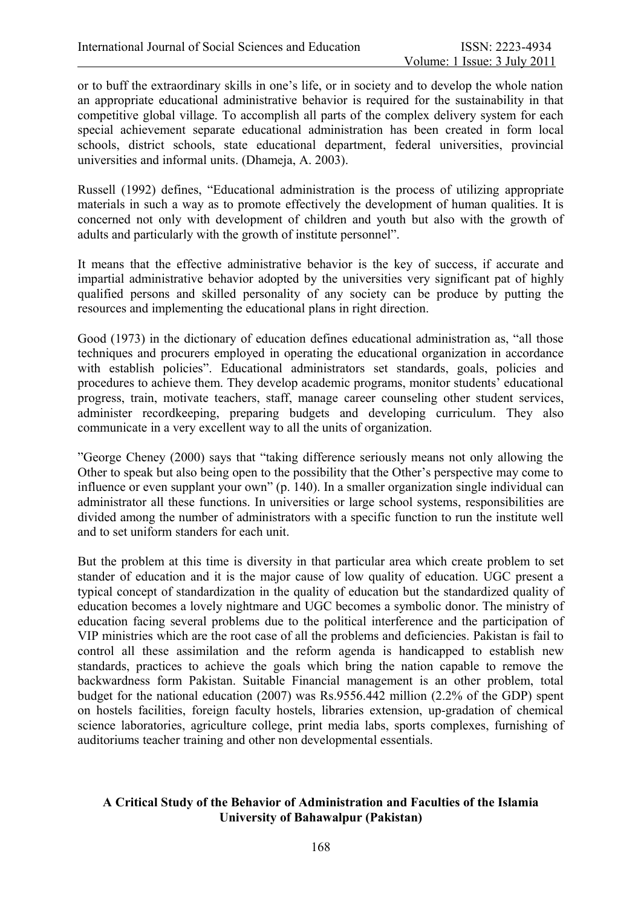or to buff the extraordinary skills in one's life, or in society and to develop the whole nation an appropriate educational administrative behavior is required for the sustainability in that competitive global village. To accomplish all parts of the complex delivery system for each special achievement separate educational administration has been created in form local schools, district schools, state educational department, federal universities, provincial universities and informal units. (Dhameja, A. 2003).

Russell (1992) defines, "Educational administration is the process of utilizing appropriate materials in such a way as to promote effectively the development of human qualities. It is concerned not only with development of children and youth but also with the growth of adults and particularly with the growth of institute personnel".

It means that the effective administrative behavior is the key of success, if accurate and impartial administrative behavior adopted by the universities very significant pat of highly qualified persons and skilled personality of any society can be produce by putting the resources and implementing the educational plans in right direction.

Good (1973) in the dictionary of education defines educational administration as, "all those techniques and procurers employed in operating the educational organization in accordance with establish policies". Educational administrators set standards, goals, policies and procedures to achieve them. They develop academic programs, monitor students' educational progress, train, motivate teachers, staff, manage career counseling other student services, administer recordkeeping, preparing budgets and developing curriculum. They also communicate in a very excellent way to all the units of organization.

"George Cheney (2000) says that "taking difference seriously means not only allowing the Other to speak but also being open to the possibility that the Other's perspective may come to influence or even supplant your own" (p. 140). In a smaller organization single individual can administrator all these functions. In universities or large school systems, responsibilities are divided among the number of administrators with a specific function to run the institute well and to set uniform standers for each unit.

But the problem at this time is diversity in that particular area which create problem to set stander of education and it is the major cause of low quality of education. UGC present a typical concept of standardization in the quality of education but the standardized quality of education becomes a lovely nightmare and UGC becomes a symbolic donor. The ministry of education facing several problems due to the political interference and the participation of VIP ministries which are the root case of all the problems and deficiencies. Pakistan is fail to control all these assimilation and the reform agenda is handicapped to establish new standards, practices to achieve the goals which bring the nation capable to remove the backwardness form Pakistan. Suitable Financial management is an other problem, total budget for the national education (2007) was Rs.9556.442 million (2.2% of the GDP) spent on hostels facilities, foreign faculty hostels, libraries extension, up-gradation of chemical science laboratories, agriculture college, print media labs, sports complexes, furnishing of auditoriums teacher training and other non developmental essentials.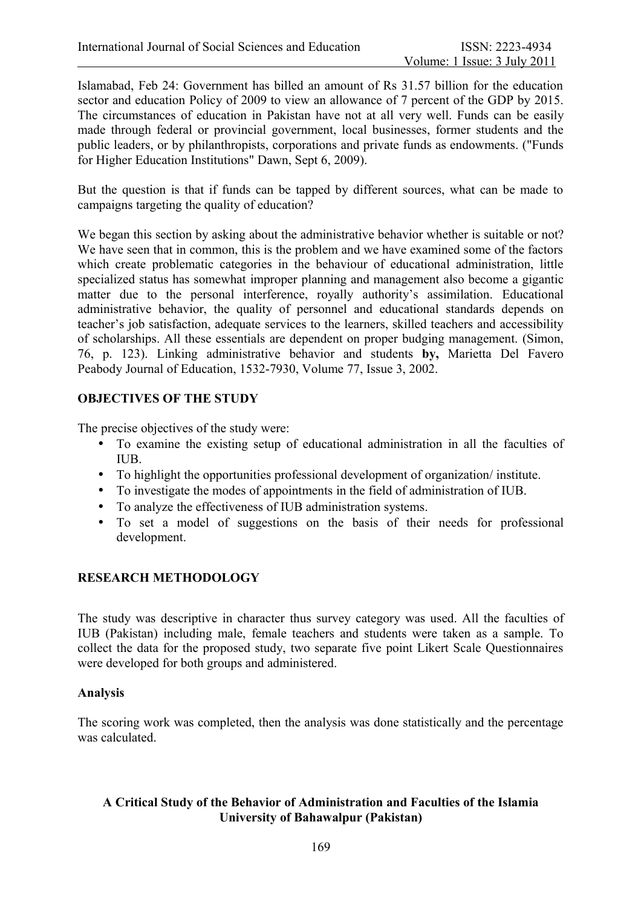Islamabad, Feb 24: Government has billed an amount of Rs 31.57 billion for the education sector and education Policy of 2009 to view an allowance of 7 percent of the GDP by 2015. The circumstances of education in Pakistan have not at all very well. Funds can be easily made through federal or provincial government, local businesses, former students and the public leaders, or by philanthropists, corporations and private funds as endowments. ("Funds for Higher Education Institutions" Dawn, Sept 6, 2009).

But the question is that if funds can be tapped by different sources, what can be made to campaigns targeting the quality of education?

We began this section by asking about the administrative behavior whether is suitable or not? We have seen that in common, this is the problem and we have examined some of the factors which create problematic categories in the behaviour of educational administration, little specialized status has somewhat improper planning and management also become a gigantic matter due to the personal interference, royally authority's assimilation. Educational administrative behavior, the quality of personnel and educational standards depends on teacher's job satisfaction, adequate services to the learners, skilled teachers and accessibility of scholarships. All these essentials are dependent on proper budging management. (Simon, 76, p. 123). Linking administrative behavior and students **by,** Marietta Del Favero Peabody Journal of Education, 1532-7930, Volume 77, Issue 3, 2002.

# **OBJECTIVES OF THE STUDY**

The precise objectives of the study were:

- To examine the existing setup of educational administration in all the faculties of IUB.
- To highlight the opportunities professional development of organization/ institute.
- To investigate the modes of appointments in the field of administration of IUB.
- To analyze the effectiveness of IUB administration systems.
- To set a model of suggestions on the basis of their needs for professional development.

## **RESEARCH METHODOLOGY**

The study was descriptive in character thus survey category was used. All the faculties of IUB (Pakistan) including male, female teachers and students were taken as a sample. To collect the data for the proposed study, two separate five point Likert Scale Questionnaires were developed for both groups and administered.

## **Analysis**

The scoring work was completed, then the analysis was done statistically and the percentage was calculated.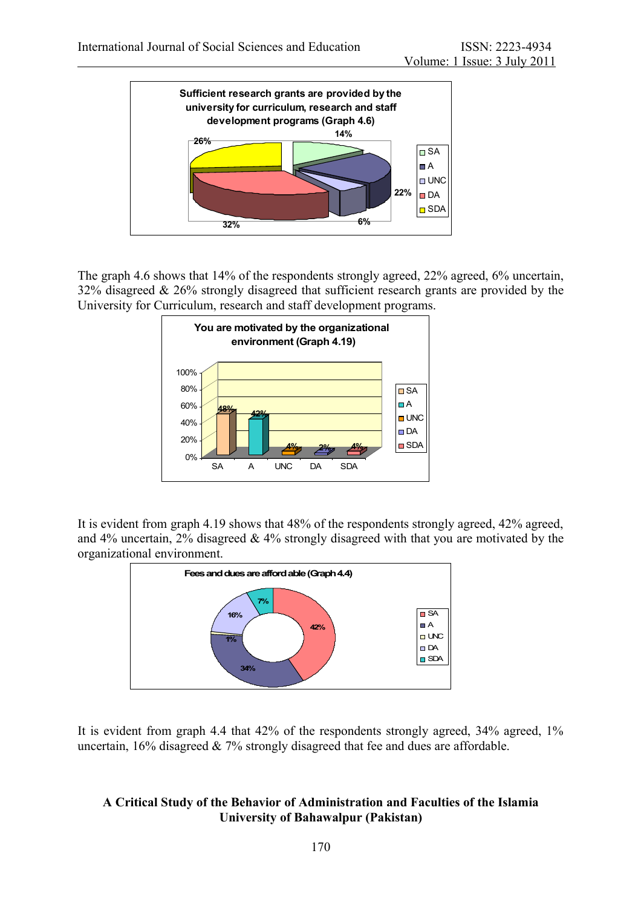

The graph 4.6 shows that 14% of the respondents strongly agreed, 22% agreed, 6% uncertain, 32% disagreed & 26% strongly disagreed that sufficient research grants are provided by the University for Curriculum, research and staff development programs.



It is evident from graph 4.19 shows that 48% of the respondents strongly agreed, 42% agreed, and 4% uncertain, 2% disagreed & 4% strongly disagreed with that you are motivated by the organizational environment.



It is evident from graph 4.4 that 42% of the respondents strongly agreed, 34% agreed, 1% uncertain, 16% disagreed & 7% strongly disagreed that fee and dues are affordable.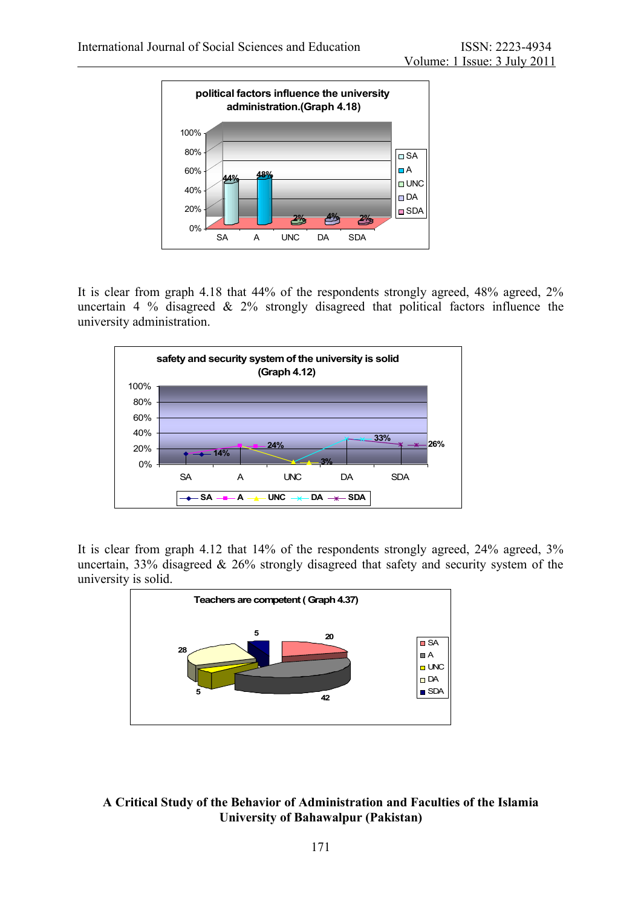

It is clear from graph 4.18 that 44% of the respondents strongly agreed, 48% agreed, 2% uncertain 4 % disagreed  $\&$  2% strongly disagreed that political factors influence the university administration.



It is clear from graph 4.12 that 14% of the respondents strongly agreed, 24% agreed, 3% uncertain, 33% disagreed & 26% strongly disagreed that safety and security system of the university is solid.

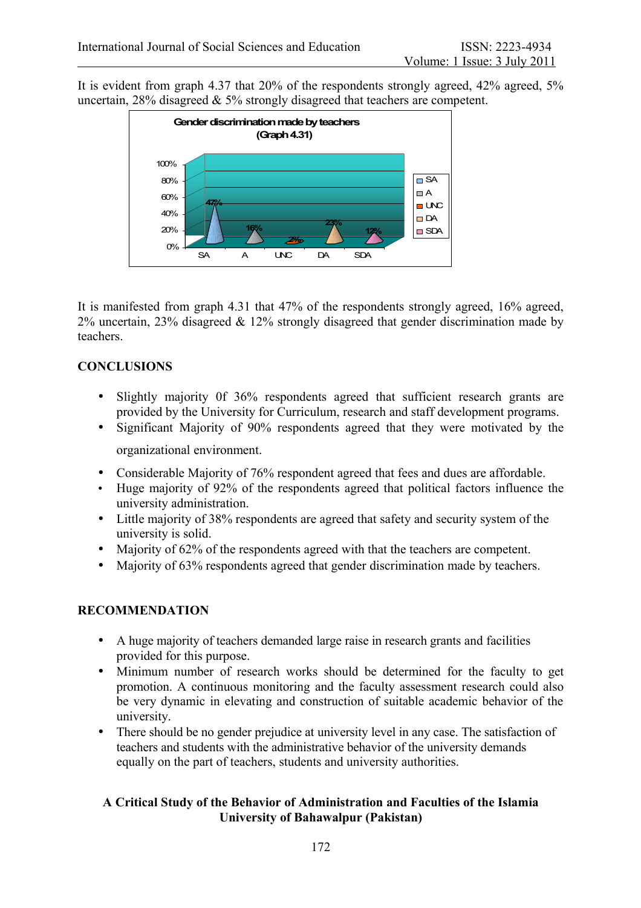It is evident from graph 4.37 that 20% of the respondents strongly agreed, 42% agreed, 5% uncertain, 28% disagreed & 5% strongly disagreed that teachers are competent.



It is manifested from graph 4.31 that 47% of the respondents strongly agreed, 16% agreed, 2% uncertain, 23% disagreed & 12% strongly disagreed that gender discrimination made by teachers.

#### **CONCLUSIONS**

- Slightly majority 0f 36% respondents agreed that sufficient research grants are provided by the University for Curriculum, research and staff development programs.
- Significant Majority of 90% respondents agreed that they were motivated by the organizational environment.
- Considerable Majority of 76% respondent agreed that fees and dues are affordable.
- Huge majority of 92% of the respondents agreed that political factors influence the university administration.
- Little majority of 38% respondents are agreed that safety and security system of the university is solid.
- Majority of 62% of the respondents agreed with that the teachers are competent.
- Majority of 63% respondents agreed that gender discrimination made by teachers.

# **RECOMMENDATION**

- A huge majority of teachers demanded large raise in research grants and facilities provided for this purpose.
- Minimum number of research works should be determined for the faculty to get promotion. A continuous monitoring and the faculty assessment research could also be very dynamic in elevating and construction of suitable academic behavior of the university.
- There should be no gender prejudice at university level in any case. The satisfaction of teachers and students with the administrative behavior of the university demands equally on the part of teachers, students and university authorities.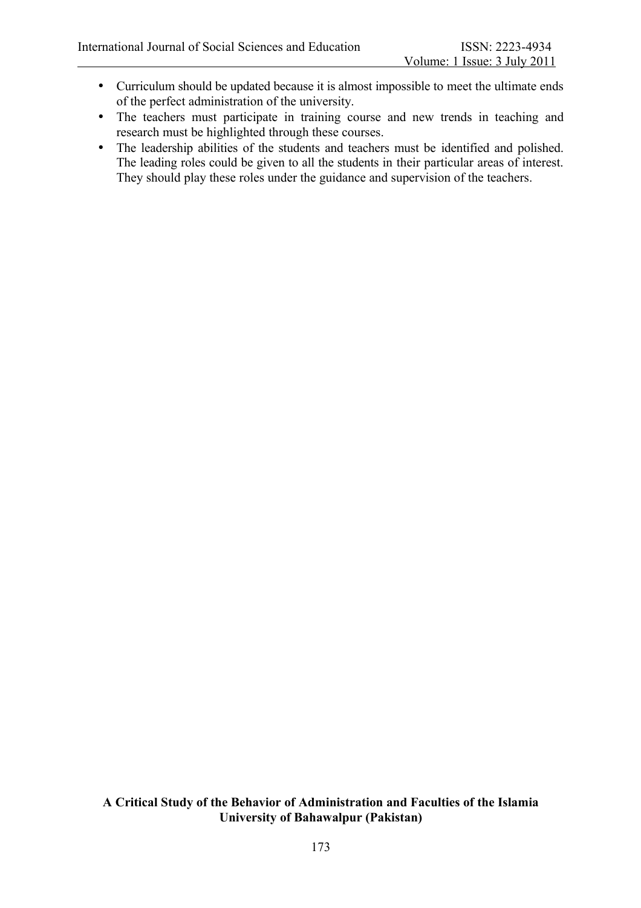- Curriculum should be updated because it is almost impossible to meet the ultimate ends of the perfect administration of the university.
- The teachers must participate in training course and new trends in teaching and research must be highlighted through these courses.
- The leadership abilities of the students and teachers must be identified and polished. The leading roles could be given to all the students in their particular areas of interest. They should play these roles under the guidance and supervision of the teachers.